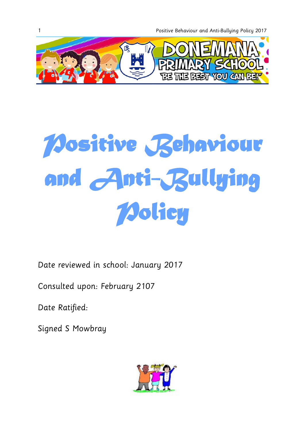1 Positive Behaviour and Anti-Bullying Policy 2017



# *Positive Behaviour and Anti-Bullying Policy*

Date reviewed in school: January 2017

Consulted upon: February 2107

Date Ratified:

Signed S Mowbray

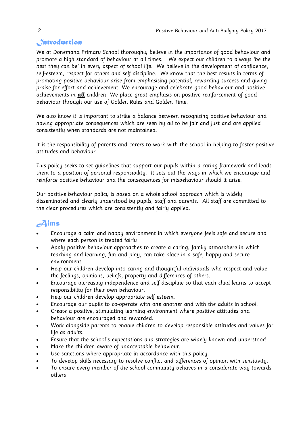# *Introduction*

We at Donemana Primary School thoroughly believe in the importance of good behaviour and promote a high standard of behaviour at all times. We expect our children to always 'be the best they can be' in every aspect of school life. We believe in the development of confidence, self-esteem, respect for others and self discipline. We know that the best results in terms of promoting positive behaviour arise from emphasising potential, rewarding success and giving praise for effort and achievement. We encourage and celebrate good behaviour and positive achievements in **all** children We place great emphasis on positive reinforcement of good behaviour through our use of Golden Rules and Golden Time.

We also know it is important to strike a balance between recognising positive behaviour and having appropriate consequences which are seen by all to be fair and just and are applied consistently when standards are not maintained.

It is the responsibility of parents and carers to work with the school in helping to foster positive attitudes and behaviour.

This policy seeks to set guidelines that support our pupils within a caring framework and leads them to a position of personal responsibility. It sets out the ways in which we encourage and reinforce positive behaviour and the consequences for misbehaviour should it arise.

Our positive behaviour policy is based on a whole school approach which is widely disseminated and clearly understood by pupils, staff and parents. All staff are committed to the clear procedures which are consistently and fairly applied.

# *Aims*

- Encourage a calm and happy environment in which everyone feels safe and secure and where each person is treated fairly
- Apply positive behaviour approaches to create a caring, family atmosphere in which teaching and learning, fun and play, can take place in a safe, happy and secure environment
- Help our children develop into caring and thoughtful individuals who respect and value the feelings, opinions, beliefs, property and differences of others.
- Encourage increasing independence and self discipline so that each child learns to accept responsibility for their own behaviour.
- Help our children develop appropriate self esteem.
- Encourage our pupils to co-operate with one another and with the adults in school.
- Create a positive, stimulating learning environment where positive attitudes and behaviour are encouraged and rewarded.
- Work alongside parents to enable children to develop responsible attitudes and values for life as adults.
- Ensure that the school's expectations and strategies are widely known and understood
- Make the children aware of unacceptable behaviour.
- Use sanctions where appropriate in accordance with this policy.
- To develop skills necessary to resolve conflict and differences of opinion with sensitivity.
- To ensure every member of the school community behaves in a considerate way towards others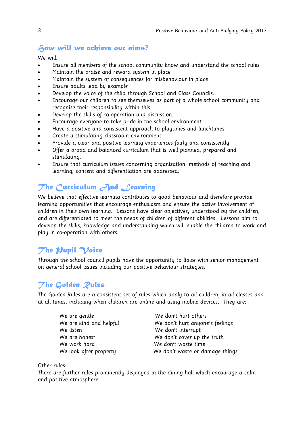#### *How will we achieve our aims?*

We will:

- Ensure all members of the school community know and understand the school rules
- Maintain the praise and reward system in place
- Maintain the system of consequences for misbehaviour in place
- Ensure adults lead by example
- Develop the voice of the child through School and Class Councils.
- Encourage our children to see themselves as part of a whole school community and recognise their responsibility within this.
- Develop the skills of co-operation and discussion.
- Encourage everyone to take pride in the school environment.
- Have a positive and consistent approach to playtimes and lunchtimes.
- Create a stimulating classroom environment.
- Provide a clear and positive learning experiences fairly and consistently.
- Offer a broad and balanced curriculum that is well planned, prepared and stimulating.
- Ensure that curriculum issues concerning organization, methods of teaching and learning, content and differentiation are addressed.

# The Curriculum **And Learning**

We believe that effective learning contributes to good behaviour and therefore provide learning opportunities that encourage enthusiasm and ensure the active involvement of children in their own learning. Lessons have clear objectives, understood by the children, and are differentiated to meet the needs of children of different abilities. Lessons aim to develop the skills, knowledge and understanding which will enable the children to work and play in co-operation with others.

# *The Pupil Voice*

Through the school council pupils have the opportunity to liaise with senior management on general school issues including our positive behaviour strategies.

# *The Golden Rules*

The Golden Rules are a consistent set of rules which apply to all children, in all classes and at all times, including when children are online and using mobile devices. They are:

| We are gentle           |
|-------------------------|
| We are kind and helpful |
| We listen               |
| We are honest           |
| We work hard            |
| We look after property  |

We don't hurt others We don't hurt anyone's feelings We don't interrupt We don't cover up the truth We don't waste time We don't waste or damage things

Other rules:

There are further rules prominently displayed in the dining hall which encourage a calm and positive atmosphere.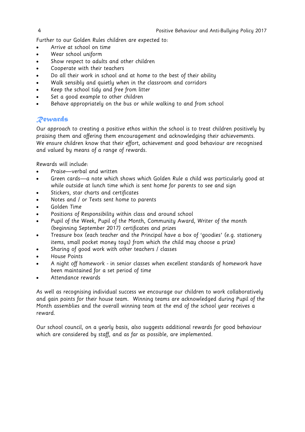Further to our Golden Rules children are expected to:

- Arrive at school on time
- Wear school uniform
- Show respect to adults and other children
- Cooperate with their teachers
- Do all their work in school and at home to the best of their ability
- Walk sensibly and quietly when in the classroom and corridors
- Keep the school tidy and free from litter
- Set a good example to other children
- Behave appropriately on the bus or while walking to and from school

#### *Rewards*

Our approach to creating a positive ethos within the school is to treat children positively by praising them and offering them encouragement and acknowledging their achievements. We ensure children know that their effort, achievement and good behaviour are recognised and valued by means of a range of rewards.

Rewards will include:

- Praise—verbal and written
- Green cards—a note which shows which Golden Rule a child was particularly good at while outside at lunch time which is sent home for parents to see and sign
- Stickers, star charts and certificates
- Notes and / or Texts sent home to parents
- Golden Time
- Positions of Responsibility within class and around school
- Pupil of the Week, Pupil of the Month, Community Award, Writer of the month (beginning September 2017) certificates and prizes
- Treasure box (each teacher and the Principal have a box of 'goodies' (e.g. stationery items, small pocket money toys) from which the child may choose a prize)
- Sharing of good work with other teachers / classes
- House Points
- A night off homework in senior classes when excellent standards of homework have been maintained for a set period of time
- Attendance rewards

As well as recognising individual success we encourage our children to work collaboratively and gain points for their house team. Winning teams are acknowledged during Pupil of the Month assemblies and the overall winning team at the end of the school year receives a reward.

Our school council, on a yearly basis, also suggests additional rewards for good behaviour which are considered by staff, and as far as possible, are implemented.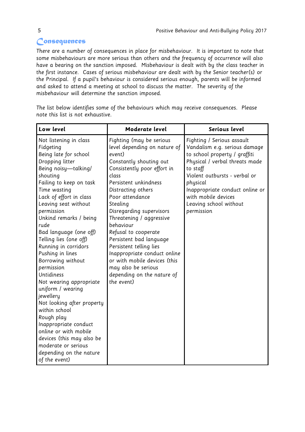# *Consequences*

There are a number of consequences in place for misbehaviour. It is important to note that some misbehaviours are more serious than others and the frequency of occurrence will also have a bearing on the sanction imposed. Misbehaviour is dealt with by the class teacher in the first instance. Cases of serious misbehaviour are dealt with by the Senior teacher(s) or the Principal. If a pupil's behaviour is considered serious enough, parents will be informed and asked to attend a meeting at school to discuss the matter. The severity of the misbehaviour will determine the sanction imposed.

**Low level Moderate level Serious level** Not listening in class Fidgeting Being late for school Dropping litter Being noisy—talking/ shouting Failing to keep on task Time wasting Lack of effort in class Leaving seat without permission Unkind remarks / being rude Bad language (one off) Telling lies (one off) Running in corridors Pushing in lines Borrowing without permission Untidiness Not wearing appropriate uniform / wearing iewelleru Not looking after property within school Rough play Inappropriate conduct online or with mobile devices (this may also be moderate or serious depending on the nature of the event) Fighting (may be serious level depending on nature of event) Constantly shouting out Consistently poor effort in class Persistent unkindness Distracting others Poor attendance Stealing Disregarding supervisors Threatening / aggressive behaviour Refusal to cooperate Persistent bad language Persistent telling lies Inappropriate conduct online or with mobile devices (this may also be serious depending on the nature of the event) Fighting / Serious assault Vandalism e.g. serious damage to school property / graffiti Physical / verbal threats made to staff Violent outbursts - verbal or physical Inappropriate conduct online or with mobile devices Leaving school without permission

The list below identifies some of the behaviours which may receive consequences. Please note this list is not exhaustive.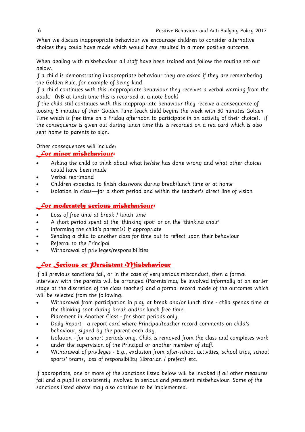When we discuss inappropriate behaviour we encourage children to consider alternative choices they could have made which would have resulted in a more positive outcome.

When dealing with misbehaviour all staff have been trained and follow the routine set out below.

If a child is demonstrating inappropriate behaviour they are asked if they are remembering the Golden Rule, for example of being kind.

If a child continues with this inappropriate behaviour they receives a verbal warning from the adult. (NB at lunch time this is recorded in a note book)

If the child still continues with this inappropriate behaviour they receive a consequence of loosing 5 minutes of their Golden Time (each child begins the week with 30 minutes Golden Time which is free time on a Friday afternoon to participate in an activity of their choice). If the consequence is given out during lunch time this is recorded on a red card which is also sent home to parents to sign.

Other consequences will include:

#### *For minor misbehaviour:*

- Asking the child to think about what he/she has done wrong and what other choices could have been made
- Verbal reprimand
- Children expected to finish classwork during break/lunch time or at home
- Isolation in class—for a short period and within the teacher's direct line of vision

#### *For moderately serious misbehaviour:*

- Loss of free time at break / lunch time
- A short period spent at the 'thinking spot' or on the 'thinking chair'
- Informing the child's parent(s) if appropriate
- Sending a child to another class for time out to reflect upon their behaviour
- Referral to the Principal
- Withdrawal of privileges/responsibilities

#### *For Serious or Persistent Misbehaviour*

If all previous sanctions fail, or in the case of very serious misconduct, then a formal interview with the parents will be arranged (Parents may be involved informally at an earlier stage at the discretion of the class teacher) and a formal record made of the outcomes which will be selected from the following:

- Withdrawal from participation in play at break and/or lunch time child spends time at the thinking spot during break and/or lunch free time.
- Placement in Another Class for short periods only.
- Daily Report a report card where Principal/teacher record comments on child's behaviour, signed by the parent each day.
- Isolation for a short periods only. Child is removed from the class and completes work
- under the supervision of the Principal or another member of staff.
- Withdrawal of privileges E.g., exclusion from after-school activities, school trips, school sports' teams, loss of responsibility (librarian / prefect) etc.

If appropriate, one or more of the sanctions listed below will be invoked if all other measures fail and a pupil is consistently involved in serious and persistent misbehaviour. Some of the sanctions listed above may also continue to be implemented.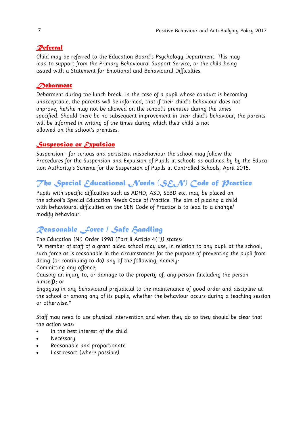#### *Referral*

Child may be referred to the Education Board's Psychology Department. This may lead to support from the Primary Behavioural Support Service, or the child being issued with a Statement for Emotional and Behavioural Difficulties.

#### *Debarment*

Debarment during the lunch break. In the case of a pupil whose conduct is becoming unacceptable, the parents will be informed, that if their child's behaviour does not improve, he/she may not be allowed on the school's premises during the times specified. Should there be no subsequent improvement in their child's behaviour, the parents will be informed in writing of the times during which their child is not allowed on the school's premises.

#### *Suspension or Expulsion*

Suspension - for serious and persistent misbehaviour the school may follow the Procedures for the Suspension and Expulsion of Pupils in schools as outlined by by the Education Authority's Scheme for the Suspension of Pupils in Controlled Schools, April 2015.

# *The Special Educational Needs (SEN) Code of Practice*

Pupils with specific difficulties such as ADHD, ASD, SEBD etc. may be placed on the school's Special Education Needs Code of Practice. The aim of placing a child with behavioural difficulties on the SEN Code of Practice is to lead to a change/ modify behaviour.

# *Reasonable Force / Safe Handling*

The Education (NI) Order 1998 (Part ll Article 4(1)) states:

"A member of staff of a grant aided school may use, in relation to any pupil at the school, such force as is reasonable in the circumstances for the purpose of preventing the pupil from doing (or continuing to do) any of the following, namely:

Committing any offence;

Causing an injury to, or damage to the property of, any person (including the person himself); or

Engaging in any behavioural prejudicial to the maintenance of good order and discipline at the school or among any of its pupils, whether the behaviour occurs during a teaching session or otherwise."

Staff may need to use physical intervention and when they do so they should be clear that the action was:

- In the best interest of the child
- Necessary
- Reasonable and proportionate
- Last resort (where possible)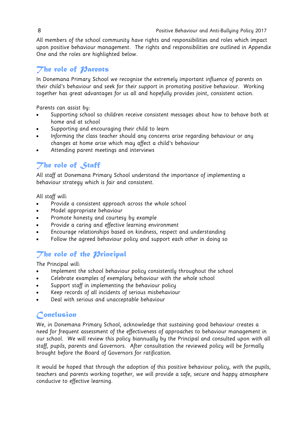All members of the school community have rights and responsibilities and roles which impact upon positive behaviour management. The rights and responsibilities are outlined in Appendix One and the roles are highlighted below.

#### *The role of Parents*

In Donemana Primary School we recognise the extremely important influence of parents on their child's behaviour and seek for their support in promoting positive behaviour. Working together has great advantages for us all and hopefully provides joint, consistent action.

Parents can assist by:

- Supporting school so children receive consistent messages about how to behave both at home and at school
- Supporting and encouraging their child to learn
- Informing the class teacher should any concerns arise regarding behaviour or any changes at home arise which may affect a child's behaviour
- Attending parent meetings and interviews

# *The role of Staff*

All staff at Donemana Primary School understand the importance of implementing a behaviour strategy which is fair and consistent.

All staff will:

- Provide a consistent approach across the whole school
- Model appropriate behaviour
- Promote honesty and courtesy by example
- Provide a caring and effective learning environment
- Encourage relationships based on kindness, respect and understanding
- Follow the agreed behaviour policy and support each other in doing so

# *The role of the Principal*

The Principal will:

- Implement the school behaviour policy consistently throughout the school
- Celebrate examples of exemplary behaviour with the whole school
- Support staff in implementing the behaviour policy
- Keep records of all incidents of serious misbehaviour
- Deal with serious and unacceptable behaviour

# *Conclusion*

We, in Donemana Primary School, acknowledge that sustaining good behaviour creates a need for frequent assessment of the effectiveness of approaches to behaviour management in our school. We will review this policy biannually by the Principal and consulted upon with all staff, pupils, parents and Governors. After consultation the reviewed policy will be formally brought before the Board of Governors for ratification.

It would be hoped that through the adoption of this positive behaviour policy, with the pupils, teachers and parents working together, we will provide a safe, secure and happy atmosphere conducive to effective learning.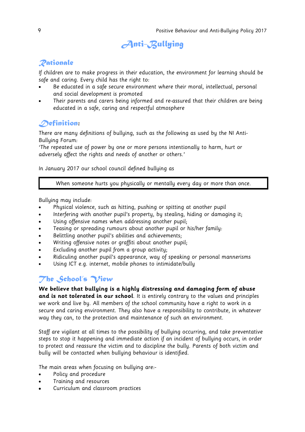# *Anti-Bullying*

# *Rationale*

If children are to make progress in their education, the environment for learning should be safe and caring. Every child has the right to:

- Be educated in a safe secure environment where their moral, intellectual, personal and social development is promoted
- Their parents and carers being informed and re-assured that their children are being educated in a safe, caring and respectful atmosphere

# *Definition***:**

There are many definitions of bullying, such as the following as used by the NI Anti-Bullying Forum:

'The repeated use of power by one or more persons intentionally to harm, hurt or adversely affect the rights and needs of another or others.'

In January 2017 our school council defined bullying as

When someone hurts you physically or mentally every day or more than once.

Bullying may include:

- Physical violence, such as hitting, pushing or spitting at another pupil
- Interfering with another pupil's property, by stealing, hiding or damaging it;
- Using offensive names when addressing another pupil;
- Teasing or spreading rumours about another pupil or his/her family:
- Belittling another pupil's abilities and achievements;
- Writing offensive notes or graffiti about another pupil;
- Excluding another pupil from a group activity;
- Ridiculing another pupil's appearance, way of speaking or personal mannerisms
- Using ICT e.g. internet, mobile phones to intimidate/bully

# *The School's View*

**We believe that bullying is a highly distressing and damaging form of abuse and is not tolerated in our school**. It is entirely contrary to the values and principles we work and live by. All members of the school community have a right to work in a secure and caring environment. They also have a responsibility to contribute, in whatever way they can, to the protection and maintenance of such an environment.

Staff are vigilant at all times to the possibility of bullying occurring, and take preventative steps to stop it happening and immediate action if an incident of bullying occurs, in order to protect and reassure the victim and to discipline the bully. Parents of both victim and bully will be contacted when bullying behaviour is identified.

The main areas when focusing on bullying are:-

- Policy and procedure
- Training and resources
- Curriculum and classroom practices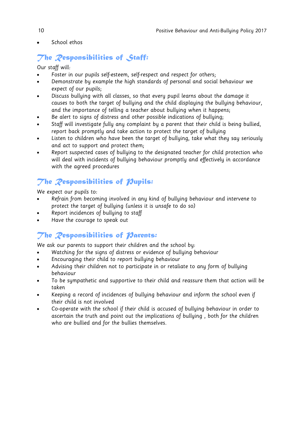School ethos

# *The Responsibilities of Staff:*

Our staff will:

- Foster in our pupils self-esteem, self-respect and respect for others;
- Demonstrate by example the high standards of personal and social behaviour we expect of our pupils;
- Discuss bullying with all classes, so that every pupil learns about the damage it causes to both the target of bullying and the child displaying the bullying behaviour, and the importance of telling a teacher about bullying when it happens;
- Be alert to signs of distress and other possible indications of bullying;
- Staff will investigate fully any complaint by a parent that their child is being bullied, report back promptly and take action to protect the target of bullying
- Listen to children who have been the target of bullying, take what they say seriously and act to support and protect them;
- Report suspected cases of bullying to the designated teacher for child protection who will deal with incidents of bullying behaviour promptly and effectively in accordance with the agreed procedures

# *The Responsibilities of Pupils:*

We expect our pupils to:

- Refrain from becoming involved in any kind of bullying behaviour and intervene to protect the target of bullying (unless it is unsafe to do so)
- Report incidences of bullying to staff
- Have the courage to speak out

#### *The Responsibilities of Parents:*

We ask our parents to support their children and the school by:

- Watching for the signs of distress or evidence of bullying behaviour
- Encouraging their child to report bullying behaviour
- Advising their children not to participate in or retaliate to any form of bullying behaviour
- To be sympathetic and supportive to their child and reassure them that action will be taken
- Keeping a record of incidences of bullying behaviour and inform the school even if their child is not involved
- Co-operate with the school if their child is accused of bullying behaviour in order to ascertain the truth and point out the implications of bullying , both for the children who are bullied and for the bullies themselves.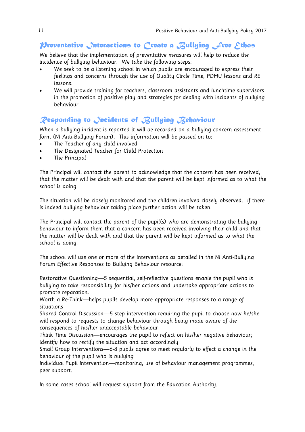## *Mreventative Interactions to Create a Bullying Free Ethos*

We believe that the implementation of preventative measures will help to reduce the incidence of bullying behaviour. We take the following steps:

- We seek to be a listening school in which pupils are encouraged to express their feelings and concerns through the use of Quality Circle Time, PDMU lessons and RE lessons.
- We will provide training for teachers, classroom assistants and lunchtime supervisors in the promotion of positive play and strategies for dealing with incidents of bullying behaviour.

#### *Responding to Incidents of Bullying Behaviour*

When a bullying incident is reported it will be recorded on a bullying concern assessment form (NI Anti-Bullying Forum). This information will be passed on to:

- The Teacher of any child involved
- The Designated Teacher for Child Protection
- The Principal

The Principal will contact the parent to acknowledge that the concern has been received, that the matter will be dealt with and that the parent will be kept informed as to what the school is doing.

The situation will be closely monitored and the children involved closely observed. If there is indeed bullying behaviour taking place further action will be taken.

The Principal will contact the parent of the pupil(s) who are demonstrating the bullying behaviour to inform them that a concern has been received involving their child and that the matter will be dealt with and that the parent will be kept informed as to what the school is doing.

The school will use one or more of the interventions as detailed in the NI Anti-Bullying Forum Effective Responses to Bullying Behaviour resource:

Restorative Questioning—5 sequential, self-reflective questions enable the pupil who is bullying to take responsibility for his/her actions and undertake appropriate actions to promote reparation.

Worth a Re-Think—helps pupils develop more appropriate responses to a range of situations

Shared Control Discussion—5 step intervention requiring the pupil to choose how he/she will respond to requests to change behaviour through being made aware of the consequences of his/her unacceptable behaviour

Think Time Discussion—encourages the pupil to reflect on his/her negative behaviour; identify how to rectify the situation and act accordingly

Small Group Interventions—6-8 pupils agree to meet regularly to effect a change in the behaviour of the pupil who is bullying

Individual Pupil Intervention—monitoring, use of behaviour management programmes, peer support.

In some cases school will request support from the Education Authority.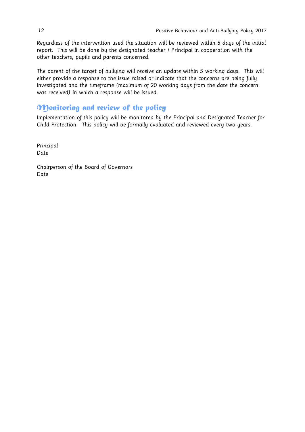Regardless of the intervention used the situation will be reviewed within 5 days of the initial report. This will be done by the designated teacher / Principal in cooperation with the other teachers, pupils and parents concerned.

The parent of the target of bullying will receive an update within 5 working days. This will either provide a response to the issue raised or indicate that the concerns are being fully investigated and the timeframe (maximum of 20 working days from the date the concern was received) in which a response will be issued.

#### *Monitoring and review of the policy*

Implementation of this policy will be monitored by the Principal and Designated Teacher for Child Protection. This policy will be formally evaluated and reviewed every two years.

Principal Date

Chairperson of the Board of Governors Date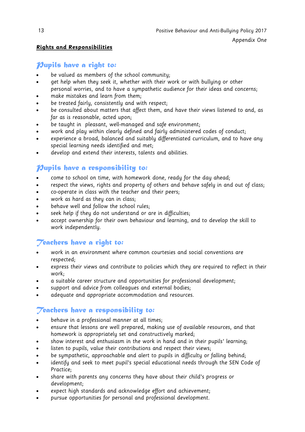#### **Rights and Responsibilities**

#### *Pupils have a right to:*

- be valued as members of the school community;
- get help when they seek it, whether with their work or with bullying or other personal worries, and to have a sympathetic audience for their ideas and concerns;
- make mistakes and learn from them;
- be treated fairly, consistently and with respect;
- be consulted about matters that affect them, and have their views listened to and, as far as is reasonable, acted upon;
- be taught in pleasant, well-managed and safe environment;
- work and play within clearly defined and fairly administered codes of conduct;
- experience a broad, balanced and suitably differentiated curriculum, and to have any special learning needs identified and met;
- develop and extend their interests, talents and abilities.

#### *Pupils have a responsibility to:*

- come to school on time, with homework done, ready for the day ahead;
- respect the views, rights and property of others and behave safely in and out of class;
- co-operate in class with the teacher and their peers;
- work as hard as they can in class;
- behave well and follow the school rules;
- seek help if they do not understand or are in difficulties;
- accept ownership for their own behaviour and learning, and to develop the skill to work independently.

#### *Teachers have a right to:*

- work in an environment where common courtesies and social conventions are respected;
- express their views and contribute to policies which they are required to reflect in their work;
- a suitable career structure and opportunities for professional development;
- support and advice from colleagues and external bodies;
- adequate and appropriate accommodation and resources.

# *Teachers have a responsibility to:*

- behave in a professional manner at all times;
- ensure that lessons are well prepared, making use of available resources, and that homework is appropriately set and constructively marked;
- show interest and enthusiasm in the work in hand and in their pupils' learning;
- listen to pupils, value their contributions and respect their views;
- be sympathetic, approachable and alert to pupils in difficulty or falling behind;
- identify and seek to meet pupil's special educational needs through the SEN Code of Practice;
- share with parents any concerns they have about their child's progress or development;
- expect high standards and acknowledge effort and achievement;
- pursue opportunities for personal and professional development.